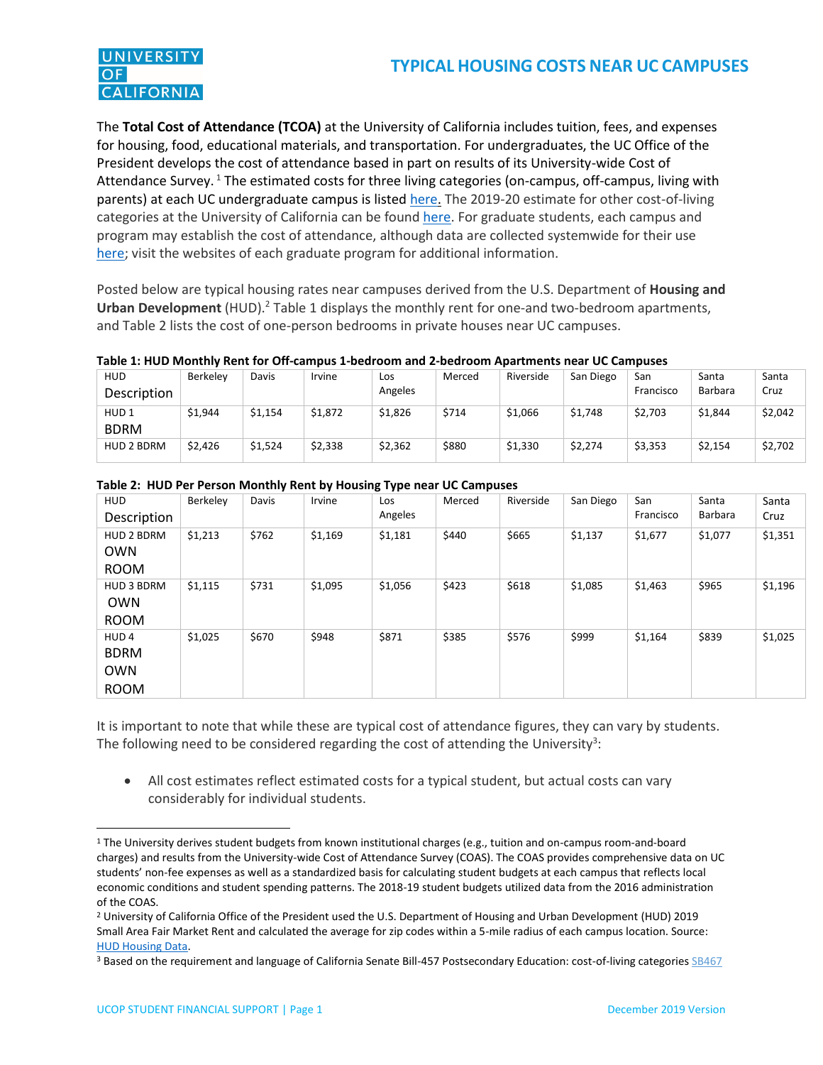

The **Total Cost of Attendance (TCOA)** at the University of California includes tuition, fees, and expenses for housing, food, educational materials, and transportation. For undergraduates, the UC Office of the President develops the cost of attendance based in part on results of its University-wide Cost of Attendance Survey.<sup>1</sup> The estimated costs for three living categories (on-campus, off-campus, living with parents) at each UC undergraduate campus is listed [here.](https://www.ucop.edu/student-affairs/_files/bdgts_ug_1819.pdf) The 2019-20 estimate for other cost-of-living categories at the University of California can be found [here.](https://admission.universityofcalifornia.edu/tuition-financial-aid/tuition-cost-of-attendance/) For graduate students, each campus and program may establish the cost of attendance, although data are collected systemwide for their use [here;](https://www.ucop.edu/student-affairs/_files/GCOAS%20Report%202017.pdf) visit the websites of each graduate program for additional information.

Posted below are typical housing rates near campuses derived from the U.S. Department of **Housing and Urban Development** (HUD).<sup>2</sup> Table 1 displays the monthly rent for one-and two-bedroom apartments, and Table 2 lists the cost of one-person bedrooms in private houses near UC campuses.

| <b>HUD</b>       | Berkelev | Davis   | Irvine  | Los     | Merced | Riverside | San Diego | San       | Santa          | Santa   |
|------------------|----------|---------|---------|---------|--------|-----------|-----------|-----------|----------------|---------|
| Description      |          |         |         | Angeles |        |           |           | Francisco | <b>Barbara</b> | Cruz    |
| HUD <sub>1</sub> | \$1,944  | \$1,154 | \$1,872 | \$1,826 | \$714  | \$1,066   | \$1,748   | \$2,703   | \$1,844        | \$2,042 |
| <b>BDRM</b>      |          |         |         |         |        |           |           |           |                |         |
| HUD 2 BDRM       | \$2,426  | \$1,524 | \$2,338 | \$2,362 | \$880  | \$1,330   | \$2,274   | \$3,353   | \$2,154        | \$2,702 |
|                  |          |         |         |         |        |           |           |           |                |         |

| <b>HUD</b>        | Berkeley | Davis | Irvine  | Los<br>Angeles | Merced | Riverside | San Diego | San<br>Francisco | Santa<br>Barbara | Santa<br>Cruz |
|-------------------|----------|-------|---------|----------------|--------|-----------|-----------|------------------|------------------|---------------|
| Description       |          |       |         |                |        |           |           |                  |                  |               |
| HUD 2 BDRM        | \$1,213  | \$762 | \$1,169 | \$1,181        | \$440  | \$665     | \$1,137   | \$1,677          | \$1,077          | \$1,351       |
| <b>OWN</b>        |          |       |         |                |        |           |           |                  |                  |               |
| <b>ROOM</b>       |          |       |         |                |        |           |           |                  |                  |               |
| <b>HUD 3 BDRM</b> | \$1,115  | \$731 | \$1,095 | \$1,056        | \$423  | \$618     | \$1,085   | \$1,463          | \$965            | \$1,196       |
| <b>OWN</b>        |          |       |         |                |        |           |           |                  |                  |               |
| <b>ROOM</b>       |          |       |         |                |        |           |           |                  |                  |               |
| HUD <sub>4</sub>  | \$1,025  | \$670 | \$948   | \$871          | \$385  | \$576     | \$999     | \$1,164          | \$839            | \$1,025       |
| <b>BDRM</b>       |          |       |         |                |        |           |           |                  |                  |               |
| <b>OWN</b>        |          |       |         |                |        |           |           |                  |                  |               |
| <b>ROOM</b>       |          |       |         |                |        |           |           |                  |                  |               |

It is important to note that while these are typical cost of attendance figures, they can vary by students. The following need to be considered regarding the cost of attending the University<sup>3</sup>:

 All cost estimates reflect estimated costs for a typical student, but actual costs can vary considerably for individual students.

 $\overline{a}$ 

<sup>&</sup>lt;sup>1</sup> The University derives student budgets from known institutional charges (e.g., tuition and on-campus room-and-board charges) and results from the University-wide Cost of Attendance Survey (COAS). The COAS provides comprehensive data on UC students' non-fee expenses as well as a standardized basis for calculating student budgets at each campus that reflects local economic conditions and student spending patterns. The 2018-19 student budgets utilized data from the 2016 administration of the COAS.

<sup>2</sup> University of California Office of the President used the U.S. Department of Housing and Urban Development (HUD) 2019 Small Area Fair Market Rent and calculated the average for zip codes within a 5-mile radius of each campus location. Source: **[HUD Housing Data.](https://www.huduser.gov/portal/datasets/fmr/smallarea/index.html#2019)** 

<sup>&</sup>lt;sup>3</sup> Based on the requirement and language of California Senate Bill-457 Postsecondary Education: cost-of-living categories [SB467](http://leginfo.legislature.ca.gov/faces/billTextClient.xhtml?bill_id=201920200SB467)